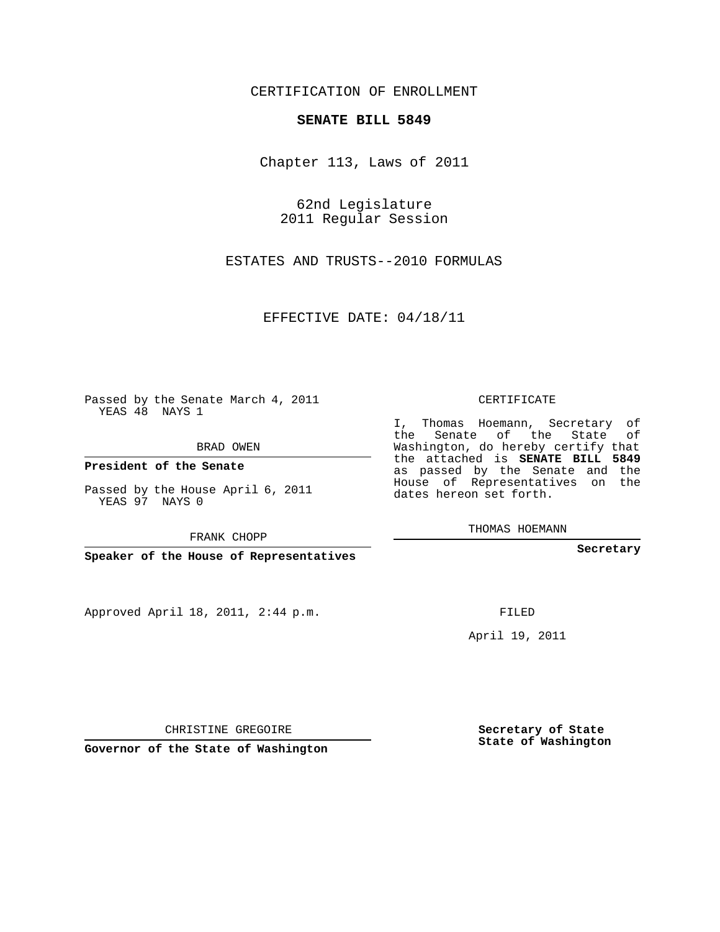## CERTIFICATION OF ENROLLMENT

## **SENATE BILL 5849**

Chapter 113, Laws of 2011

62nd Legislature 2011 Regular Session

ESTATES AND TRUSTS--2010 FORMULAS

EFFECTIVE DATE: 04/18/11

Passed by the Senate March 4, 2011 YEAS 48 NAYS 1

BRAD OWEN

**President of the Senate**

Passed by the House April 6, 2011 YEAS 97 NAYS 0

FRANK CHOPP

**Speaker of the House of Representatives**

Approved April 18, 2011, 2:44 p.m.

CERTIFICATE

I, Thomas Hoemann, Secretary of the Senate of the State of Washington, do hereby certify that the attached is **SENATE BILL 5849** as passed by the Senate and the House of Representatives on the dates hereon set forth.

THOMAS HOEMANN

**Secretary**

FILED

April 19, 2011

**Secretary of State State of Washington**

CHRISTINE GREGOIRE

**Governor of the State of Washington**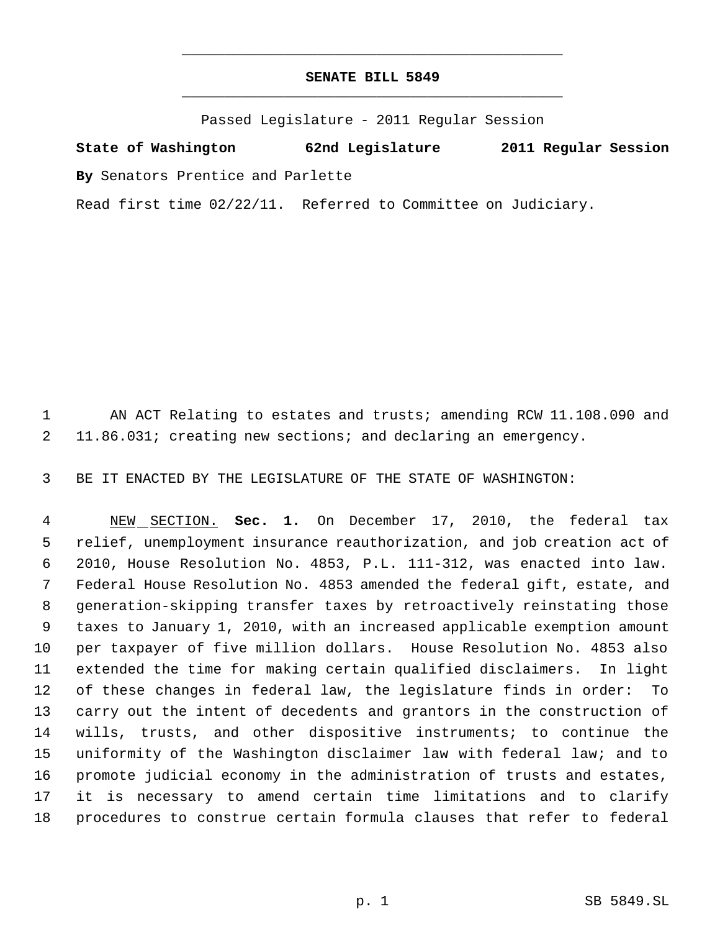## **SENATE BILL 5849** \_\_\_\_\_\_\_\_\_\_\_\_\_\_\_\_\_\_\_\_\_\_\_\_\_\_\_\_\_\_\_\_\_\_\_\_\_\_\_\_\_\_\_\_\_

\_\_\_\_\_\_\_\_\_\_\_\_\_\_\_\_\_\_\_\_\_\_\_\_\_\_\_\_\_\_\_\_\_\_\_\_\_\_\_\_\_\_\_\_\_

Passed Legislature - 2011 Regular Session

**State of Washington 62nd Legislature 2011 Regular Session By** Senators Prentice and Parlette

Read first time 02/22/11. Referred to Committee on Judiciary.

1 AN ACT Relating to estates and trusts; amending RCW 11.108.090 and 11.86.031; creating new sections; and declaring an emergency.

BE IT ENACTED BY THE LEGISLATURE OF THE STATE OF WASHINGTON:

 NEW SECTION. **Sec. 1.** On December 17, 2010, the federal tax relief, unemployment insurance reauthorization, and job creation act of 2010, House Resolution No. 4853, P.L. 111-312, was enacted into law. Federal House Resolution No. 4853 amended the federal gift, estate, and generation-skipping transfer taxes by retroactively reinstating those taxes to January 1, 2010, with an increased applicable exemption amount per taxpayer of five million dollars. House Resolution No. 4853 also extended the time for making certain qualified disclaimers. In light of these changes in federal law, the legislature finds in order: To carry out the intent of decedents and grantors in the construction of wills, trusts, and other dispositive instruments; to continue the uniformity of the Washington disclaimer law with federal law; and to promote judicial economy in the administration of trusts and estates, it is necessary to amend certain time limitations and to clarify procedures to construe certain formula clauses that refer to federal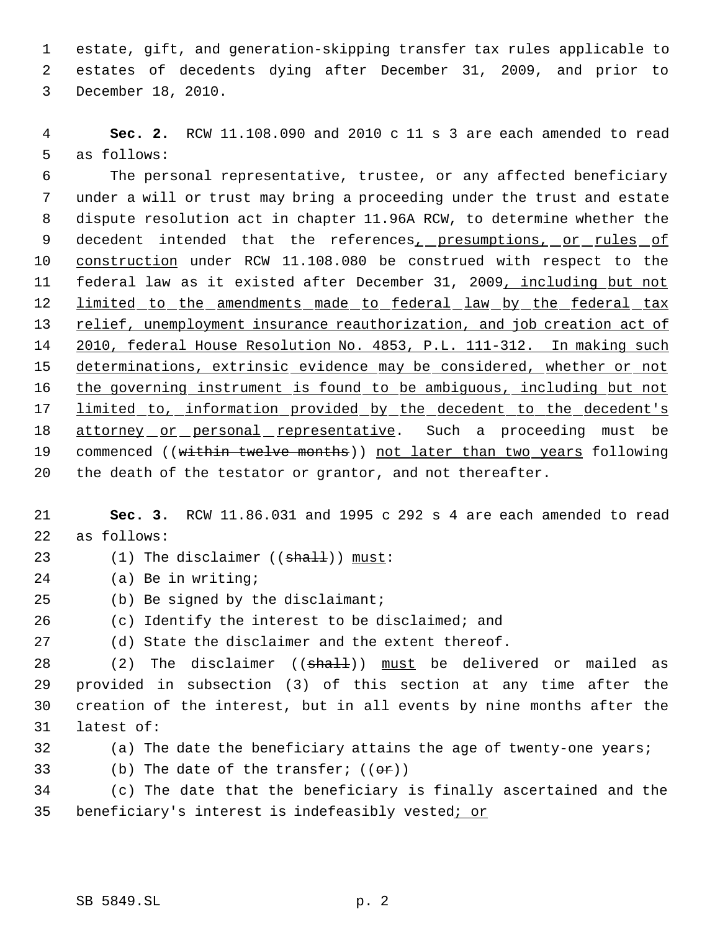estate, gift, and generation-skipping transfer tax rules applicable to estates of decedents dying after December 31, 2009, and prior to December 18, 2010.

 **Sec. 2.** RCW 11.108.090 and 2010 c 11 s 3 are each amended to read as follows:

 The personal representative, trustee, or any affected beneficiary under a will or trust may bring a proceeding under the trust and estate dispute resolution act in chapter 11.96A RCW, to determine whether the 9 decedent intended that the references<sub>1</sub> presumptions, or rules of construction under RCW 11.108.080 be construed with respect to the 11 federal law as it existed after December 31, 2009, including but not 12 limited to the amendments made to federal law by the federal tax relief, unemployment insurance reauthorization, and job creation act of 2010, federal House Resolution No. 4853, P.L. 111-312. In making such 15 determinations, extrinsic evidence may be considered, whether or not 16 the governing instrument is found to be ambiguous, including but not 17 limited to, information provided by the decedent to the decedent's 18 attorney or personal representative. Such a proceeding must be 19 commenced ((within twelve months)) not later than two years following the death of the testator or grantor, and not thereafter.

 **Sec. 3.** RCW 11.86.031 and 1995 c 292 s 4 are each amended to read as follows:

- 23 (1) The disclaimer ((shall)) must:
- (a) Be in writing;
- (b) Be signed by the disclaimant;
- (c) Identify the interest to be disclaimed; and
- (d) State the disclaimer and the extent thereof.

28 (2) The disclaimer ((shall)) must be delivered or mailed as provided in subsection (3) of this section at any time after the creation of the interest, but in all events by nine months after the latest of:

(a) The date the beneficiary attains the age of twenty-one years;

33 (b) The date of the transfer;  $((\theta \cdot \mathbf{r}))$ 

 (c) The date that the beneficiary is finally ascertained and the 35 beneficiary's interest is indefeasibly vested; or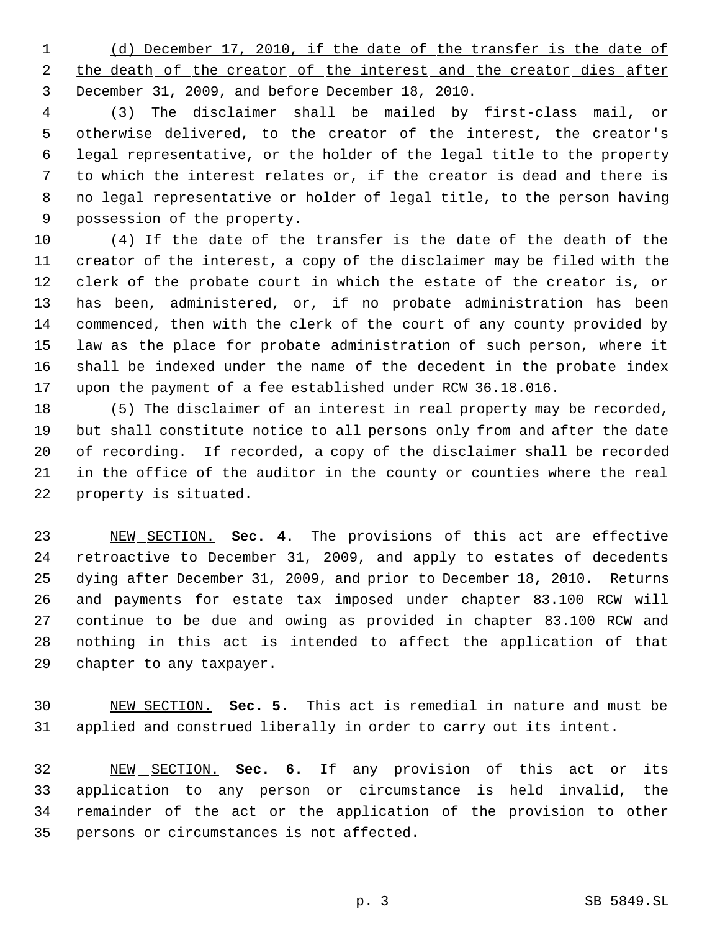(d) December 17, 2010, if the date of the transfer is the date of 2 the death of the creator of the interest and the creator dies after December 31, 2009, and before December 18, 2010.

 (3) The disclaimer shall be mailed by first-class mail, or otherwise delivered, to the creator of the interest, the creator's legal representative, or the holder of the legal title to the property to which the interest relates or, if the creator is dead and there is no legal representative or holder of legal title, to the person having possession of the property.

 (4) If the date of the transfer is the date of the death of the creator of the interest, a copy of the disclaimer may be filed with the clerk of the probate court in which the estate of the creator is, or has been, administered, or, if no probate administration has been commenced, then with the clerk of the court of any county provided by law as the place for probate administration of such person, where it shall be indexed under the name of the decedent in the probate index upon the payment of a fee established under RCW 36.18.016.

 (5) The disclaimer of an interest in real property may be recorded, but shall constitute notice to all persons only from and after the date of recording. If recorded, a copy of the disclaimer shall be recorded in the office of the auditor in the county or counties where the real property is situated.

 NEW SECTION. **Sec. 4.** The provisions of this act are effective retroactive to December 31, 2009, and apply to estates of decedents dying after December 31, 2009, and prior to December 18, 2010. Returns and payments for estate tax imposed under chapter 83.100 RCW will continue to be due and owing as provided in chapter 83.100 RCW and nothing in this act is intended to affect the application of that chapter to any taxpayer.

 NEW SECTION. **Sec. 5.** This act is remedial in nature and must be applied and construed liberally in order to carry out its intent.

 NEW SECTION. **Sec. 6.** If any provision of this act or its application to any person or circumstance is held invalid, the remainder of the act or the application of the provision to other persons or circumstances is not affected.